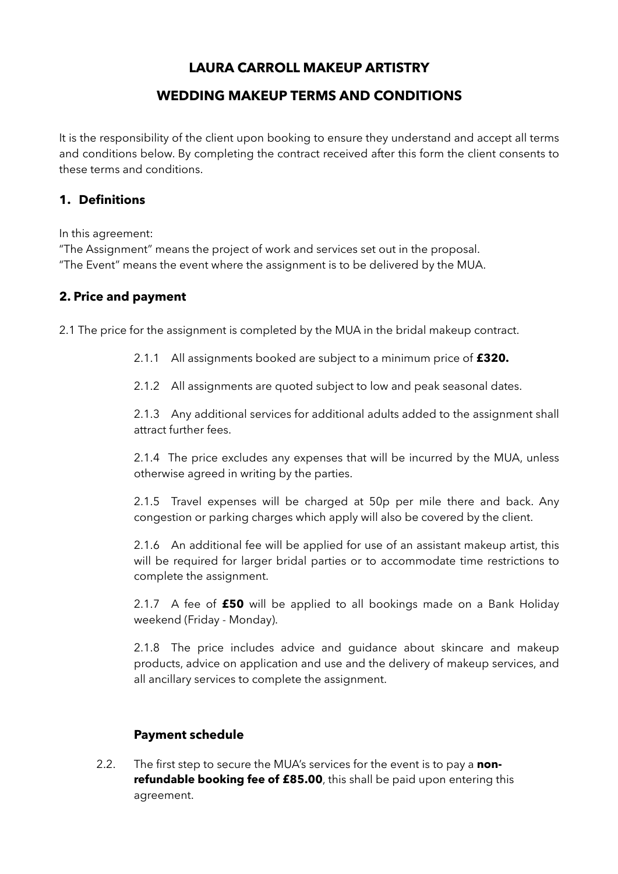# **LAURA CARROLL MAKEUP ARTISTRY**

## **WEDDING MAKEUP TERMS AND CONDITIONS**

It is the responsibility of the client upon booking to ensure they understand and accept all terms and conditions below. By completing the contract received after this form the client consents to these terms and conditions.

#### **1. Definitions**

In this agreement:

"The Assignment" means the project of work and services set out in the proposal. "The Event" means the event where the assignment is to be delivered by the MUA.

### **2. Price and payment**

2.1 The price for the assignment is completed by the MUA in the bridal makeup contract.

2.1.1 All assignments booked are subject to a minimum price of **£320.**

2.1.2 All assignments are quoted subject to low and peak seasonal dates.

2.1.3 Any additional services for additional adults added to the assignment shall attract further fees.

2.1.4 The price excludes any expenses that will be incurred by the MUA, unless otherwise agreed in writing by the parties.

2.1.5 Travel expenses will be charged at 50p per mile there and back. Any congestion or parking charges which apply will also be covered by the client.

2.1.6 An additional fee will be applied for use of an assistant makeup artist, this will be required for larger bridal parties or to accommodate time restrictions to complete the assignment.

2.1.7 A fee of **£50** will be applied to all bookings made on a Bank Holiday weekend (Friday - Monday).

2.1.8 The price includes advice and guidance about skincare and makeup products, advice on application and use and the delivery of makeup services, and all ancillary services to complete the assignment.

### **Payment schedule**

2.2. The first step to secure the MUA's services for the event is to pay a **nonrefundable booking fee of £85.00**, this shall be paid upon entering this agreement.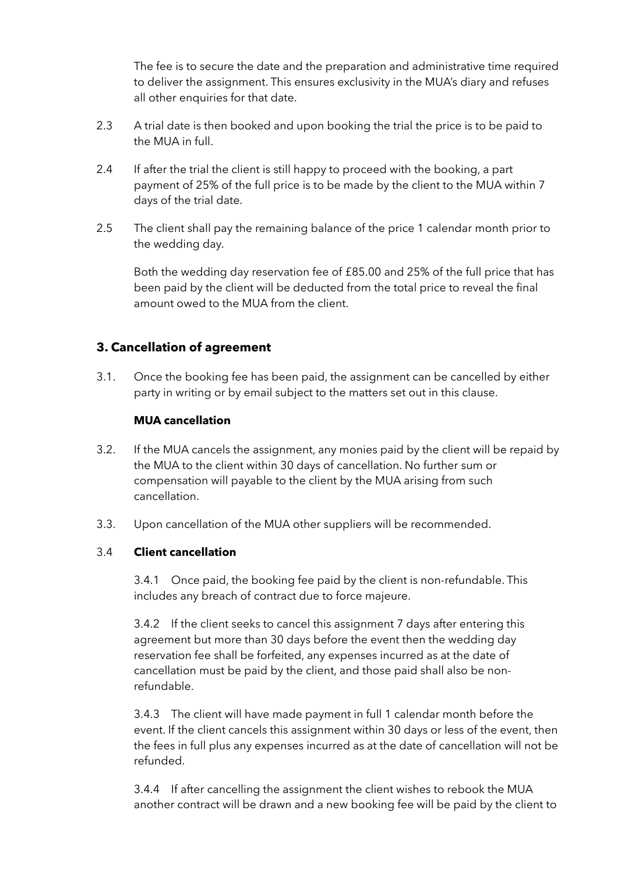The fee is to secure the date and the preparation and administrative time required to deliver the assignment. This ensures exclusivity in the MUA's diary and refuses all other enquiries for that date.

- 2.3 A trial date is then booked and upon booking the trial the price is to be paid to the MUA in full.
- 2.4 If after the trial the client is still happy to proceed with the booking, a part payment of 25% of the full price is to be made by the client to the MUA within 7 days of the trial date.
- 2.5 The client shall pay the remaining balance of the price 1 calendar month prior to the wedding day.

 Both the wedding day reservation fee of £85.00 and 25% of the full price that has been paid by the client will be deducted from the total price to reveal the final amount owed to the MUA from the client.

## **3. Cancellation of agreement**

3.1. Once the booking fee has been paid, the assignment can be cancelled by either party in writing or by email subject to the matters set out in this clause.

#### **MUA cancellation**

- 3.2. If the MUA cancels the assignment, any monies paid by the client will be repaid by the MUA to the client within 30 days of cancellation. No further sum or compensation will payable to the client by the MUA arising from such cancellation.
- 3.3. Upon cancellation of the MUA other suppliers will be recommended.

#### 3.4 **Client cancellation**

 3.4.1 Once paid, the booking fee paid by the client is non-refundable. This includes any breach of contract due to force majeure.

3.4.2 If the client seeks to cancel this assignment 7 days after entering this agreement but more than 30 days before the event then the wedding day reservation fee shall be forfeited, any expenses incurred as at the date of cancellation must be paid by the client, and those paid shall also be nonrefundable.

3.4.3 The client will have made payment in full 1 calendar month before the event. If the client cancels this assignment within 30 days or less of the event, then the fees in full plus any expenses incurred as at the date of cancellation will not be refunded.

3.4.4 If after cancelling the assignment the client wishes to rebook the MUA another contract will be drawn and a new booking fee will be paid by the client to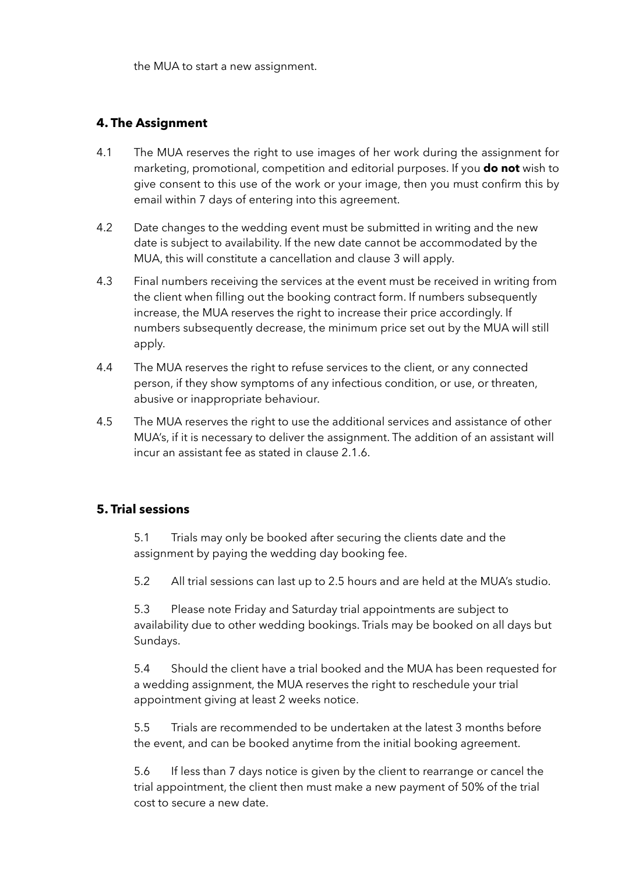the MUA to start a new assignment.

### **4. The Assignment**

- 4.1 The MUA reserves the right to use images of her work during the assignment for marketing, promotional, competition and editorial purposes. If you **do not** wish to give consent to this use of the work or your image, then you must confirm this by email within 7 days of entering into this agreement.
- 4.2 Date changes to the wedding event must be submitted in writing and the new date is subject to availability. If the new date cannot be accommodated by the MUA, this will constitute a cancellation and clause 3 will apply.
- 4.3 Final numbers receiving the services at the event must be received in writing from the client when filling out the booking contract form. If numbers subsequently increase, the MUA reserves the right to increase their price accordingly. If numbers subsequently decrease, the minimum price set out by the MUA will still apply.
- 4.4 The MUA reserves the right to refuse services to the client, or any connected person, if they show symptoms of any infectious condition, or use, or threaten, abusive or inappropriate behaviour.
- 4.5 The MUA reserves the right to use the additional services and assistance of other MUA's, if it is necessary to deliver the assignment. The addition of an assistant will incur an assistant fee as stated in clause 2.1.6.

### **5. Trial sessions**

 5.1 Trials may only be booked after securing the clients date and the assignment by paying the wedding day booking fee.

5.2 All trial sessions can last up to 2.5 hours and are held at the MUA's studio.

5.3 Please note Friday and Saturday trial appointments are subject to availability due to other wedding bookings. Trials may be booked on all days but Sundays.

5.4 Should the client have a trial booked and the MUA has been requested for a wedding assignment, the MUA reserves the right to reschedule your trial appointment giving at least 2 weeks notice.

5.5 Trials are recommended to be undertaken at the latest 3 months before the event, and can be booked anytime from the initial booking agreement.

 5.6 If less than 7 days notice is given by the client to rearrange or cancel the trial appointment, the client then must make a new payment of 50% of the trial cost to secure a new date.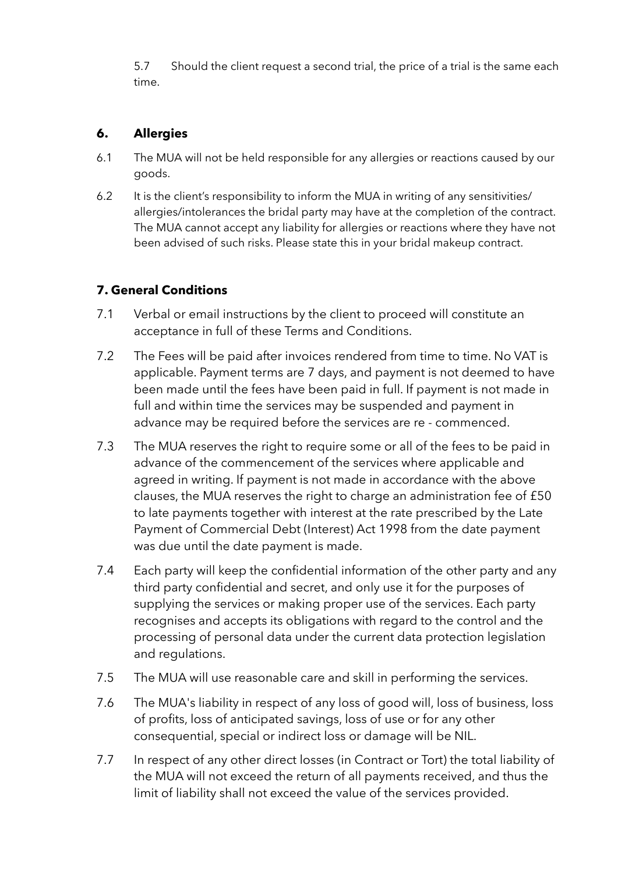5.7 Should the client request a second trial, the price of a trial is the same each time.

# **6. Allergies**

- 6.1 The MUA will not be held responsible for any allergies or reactions caused by our goods.
- 6.2 It is the client's responsibility to inform the MUA in writing of any sensitivities/ allergies/intolerances the bridal party may have at the completion of the contract. The MUA cannot accept any liability for allergies or reactions where they have not been advised of such risks. Please state this in your bridal makeup contract.

# **7. General Conditions**

- 7.1 Verbal or email instructions by the client to proceed will constitute an acceptance in full of these Terms and Conditions.
- 7.2 The Fees will be paid after invoices rendered from time to time. No VAT is applicable. Payment terms are 7 days, and payment is not deemed to have been made until the fees have been paid in full. If payment is not made in full and within time the services may be suspended and payment in advance may be required before the services are re - commenced.
- 7.3 The MUA reserves the right to require some or all of the fees to be paid in advance of the commencement of the services where applicable and agreed in writing. If payment is not made in accordance with the above clauses, the MUA reserves the right to charge an administration fee of £50 to late payments together with interest at the rate prescribed by the Late Payment of Commercial Debt (Interest) Act 1998 from the date payment was due until the date payment is made.
- 7.4 Each party will keep the confidential information of the other party and any third party confidential and secret, and only use it for the purposes of supplying the services or making proper use of the services. Each party recognises and accepts its obligations with regard to the control and the processing of personal data under the current data protection legislation and regulations.
- 7.5 The MUA will use reasonable care and skill in performing the services.
- 7.6 The MUA's liability in respect of any loss of good will, loss of business, loss of profits, loss of anticipated savings, loss of use or for any other consequential, special or indirect loss or damage will be NIL.
- 7.7 In respect of any other direct losses (in Contract or Tort) the total liability of the MUA will not exceed the return of all payments received, and thus the limit of liability shall not exceed the value of the services provided.